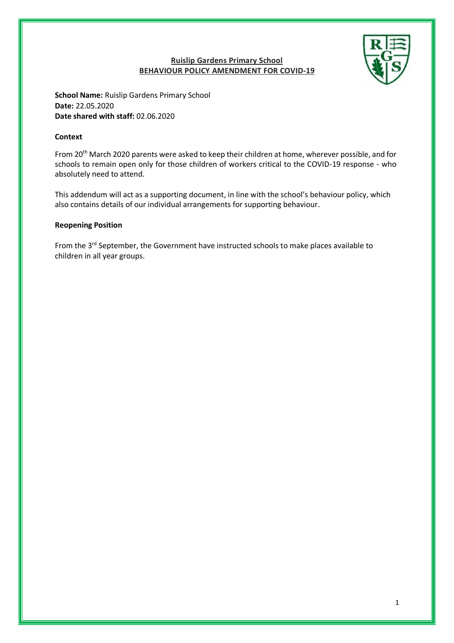# **Ruislip Gardens Primary School BEHAVIOUR POLICY AMENDMENT FOR COVID-19**



**School Name:** Ruislip Gardens Primary School **Date:** 22.05.2020 **Date shared with staff:** 02.06.2020

#### **Context**

From 20<sup>th</sup> March 2020 parents were asked to keep their children at home, wherever possible, and for schools to remain open only for those children of workers critical to the COVID-19 response - who absolutely need to attend.

This addendum will act as a supporting document, in line with the school's behaviour policy, which also contains details of our individual arrangements for supporting behaviour.

#### **Reopening Position**

From the 3<sup>rd</sup> September, the Government have instructed schools to make places available to children in all year groups.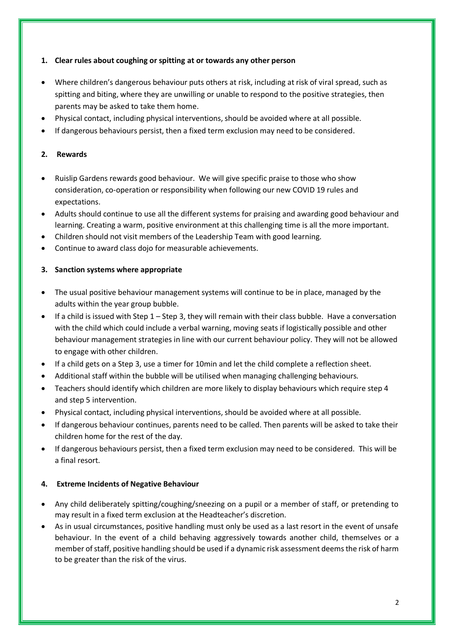## **1. Clear rules about coughing or spitting at or towards any other person**

- Where children's dangerous behaviour puts others at risk, including at risk of viral spread, such as spitting and biting, where they are unwilling or unable to respond to the positive strategies, then parents may be asked to take them home.
- Physical contact, including physical interventions, should be avoided where at all possible.
- If dangerous behaviours persist, then a fixed term exclusion may need to be considered.

### **2. Rewards**

- Ruislip Gardens rewards good behaviour. We will give specific praise to those who show consideration, co-operation or responsibility when following our new COVID 19 rules and expectations.
- Adults should continue to use all the different systems for praising and awarding good behaviour and learning. Creating a warm, positive environment at this challenging time is all the more important.
- Children should not visit members of the Leadership Team with good learning.
- Continue to award class dojo for measurable achievements.

### **3. Sanction systems where appropriate**

- The usual positive behaviour management systems will continue to be in place, managed by the adults within the year group bubble.
- **If a child is issued with Step 1 Step 3, they will remain with their class bubble. Have a conversation** with the child which could include a verbal warning, moving seats if logistically possible and other behaviour management strategies in line with our current behaviour policy. They will not be allowed to engage with other children.
- If a child gets on a Step 3, use a timer for 10min and let the child complete a reflection sheet.
- Additional staff within the bubble will be utilised when managing challenging behaviours.
- Teachers should identify which children are more likely to display behaviours which require step 4 and step 5 intervention.
- Physical contact, including physical interventions, should be avoided where at all possible.
- If dangerous behaviour continues, parents need to be called. Then parents will be asked to take their children home for the rest of the day.
- If dangerous behaviours persist, then a fixed term exclusion may need to be considered. This will be a final resort.

#### **4. Extreme Incidents of Negative Behaviour**

- Any child deliberately spitting/coughing/sneezing on a pupil or a member of staff, or pretending to may result in a fixed term exclusion at the Headteacher's discretion.
- As in usual circumstances, positive handling must only be used as a last resort in the event of unsafe behaviour. In the event of a child behaving aggressively towards another child, themselves or a member of staff, positive handling should be used if a dynamic risk assessment deems the risk of harm to be greater than the risk of the virus.